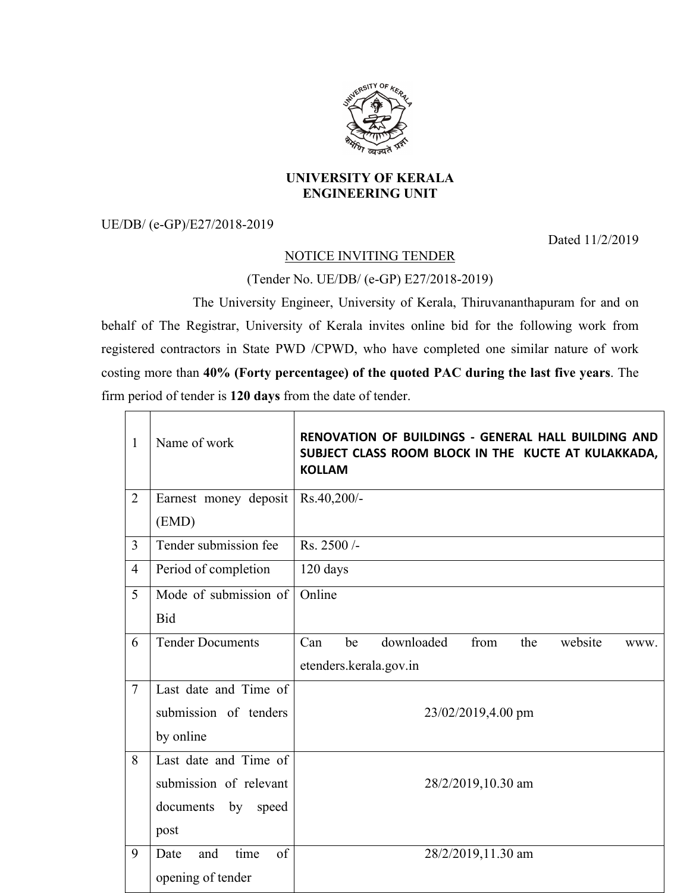

## **UNIVERSITY OF KERALA ENGINEERING UNIT**

UE/DB/ (e-GP)/E27/2018-2019

 $\Gamma$ 

Dated 11/2/2019

## NOTICE INVITING TENDER

## (Tender No. UE/DB/ (e-GP) E27/2018-2019)

The University Engineer, University of Kerala, Thiruvananthapuram for and on behalf of The Registrar, University of Kerala invites online bid for the following work from registered contractors in State PWD /CPWD, who have completed one similar nature of work costing more than **40% (Forty percentagee) of the quoted PAC during the last five years**. The firm period of tender is **120 days** from the date of tender.

| $\mathbf{1}$   | Name of work              | RENOVATION OF BUILDINGS - GENERAL HALL BUILDING AND<br>SUBJECT CLASS ROOM BLOCK IN THE KUCTE AT KULAKKADA,<br><b>KOLLAM</b> |  |
|----------------|---------------------------|-----------------------------------------------------------------------------------------------------------------------------|--|
| $\overline{2}$ | Earnest money deposit     | Rs.40,200/-                                                                                                                 |  |
|                | (EMD)                     |                                                                                                                             |  |
| $\overline{3}$ | Tender submission fee     | Rs. 2500/-                                                                                                                  |  |
| $\overline{4}$ | Period of completion      | 120 days                                                                                                                    |  |
| 5              | Mode of submission of     | Online                                                                                                                      |  |
|                | <b>Bid</b>                |                                                                                                                             |  |
| 6              | <b>Tender Documents</b>   | Can<br>downloaded<br>from<br>website<br>be<br>the<br>WWW.                                                                   |  |
|                |                           | etenders.kerala.gov.in                                                                                                      |  |
| $\overline{7}$ | Last date and Time of     |                                                                                                                             |  |
|                | submission of tenders     | 23/02/2019,4.00 pm                                                                                                          |  |
|                | by online                 |                                                                                                                             |  |
| 8              | Last date and Time of     | 28/2/2019,10.30 am                                                                                                          |  |
|                | submission of relevant    |                                                                                                                             |  |
|                | documents<br>by<br>speed  |                                                                                                                             |  |
|                | post                      |                                                                                                                             |  |
| 9              | time<br>of<br>Date<br>and | 28/2/2019,11.30 am                                                                                                          |  |
|                | opening of tender         |                                                                                                                             |  |